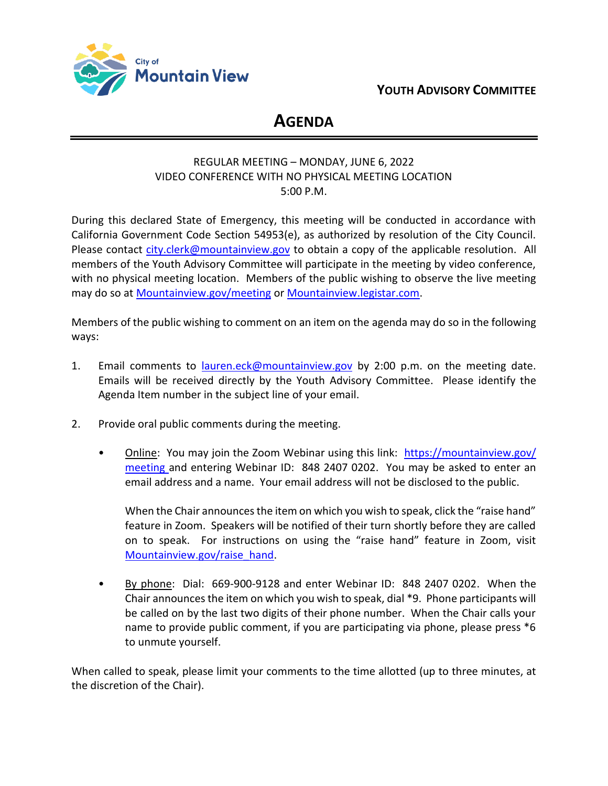



# **AGENDA**

# REGULAR MEETING – MONDAY, JUNE 6, 2022 VIDEO CONFERENCE WITH NO PHYSICAL MEETING LOCATION 5:00 P.M.

During this declared State of Emergency, this meeting will be conducted in accordance with California Government Code Section 54953(e), as authorized by resolution of the City Council. Please contact [city.clerk@mountainview.gov](mailto:city.clerk@mountainview.gov) to obtain a copy of the applicable resolution. All members of the Youth Advisory Committee will participate in the meeting by video conference, with no physical meeting location. Members of the public wishing to observe the live meeting may do so at [Mountainview.gov/meeting](https://mountainview.gov/meeting) or [Mountainview.legistar.com.](https://mountainview.legistar.com/)

Members of the public wishing to comment on an item on the agenda may do so in the following ways:

- 1. Email comments to [lauren.eck@mountainview.gov](mailto:lauren.eck@mountainview.gov) by 2:00 p.m. on the meeting date. Emails will be received directly by the Youth Advisory Committee. Please identify the Agenda Item number in the subject line of your email.
- 2. Provide oral public comments during the meeting.
	- Online: You may join the Zoom Webinar using this link: [https://mountainview.gov/](https://mountainview.gov/meeting) [meeting](https://mountainview.gov/meeting) and entering Webinar ID: 848 2407 0202. You may be asked to enter an email address and a name. Your email address will not be disclosed to the public.

When the Chair announces the item on which you wish to speak, click the "raise hand" feature in Zoom. Speakers will be notified of their turn shortly before they are called on to speak. For instructions on using the "raise hand" feature in Zoom, visit [Mountainview.gov/raise\\_hand.](https://mountainview.gov/raise_hand)

• By phone: Dial: 669-900-9128 and enter Webinar ID: 848 2407 0202. When the Chair announces the item on which you wish to speak, dial \*9. Phone participants will be called on by the last two digits of their phone number. When the Chair calls your name to provide public comment, if you are participating via phone, please press \*6 to unmute yourself.

When called to speak, please limit your comments to the time allotted (up to three minutes, at the discretion of the Chair).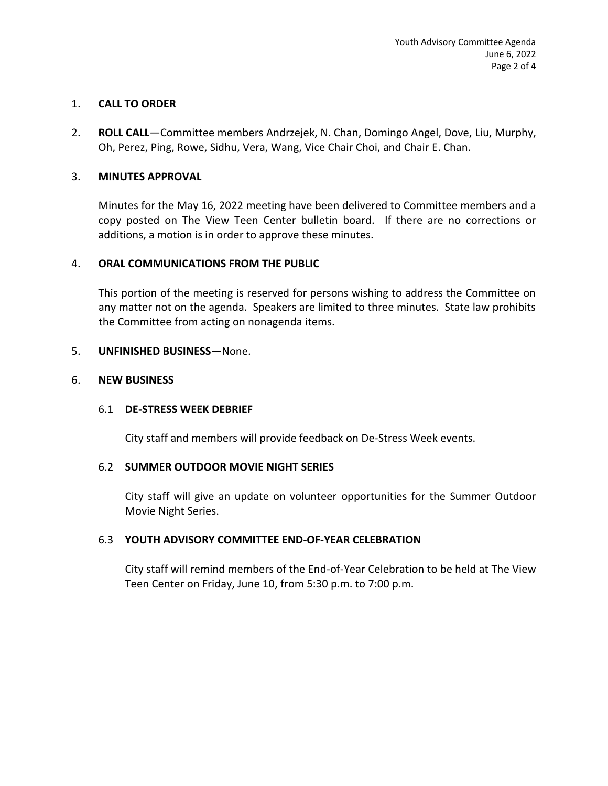## 1. **CALL TO ORDER**

2. **ROLL CALL**—Committee members Andrzejek, N. Chan, Domingo Angel, Dove, Liu, Murphy, Oh, Perez, Ping, Rowe, Sidhu, Vera, Wang, Vice Chair Choi, and Chair E. Chan.

#### 3. **MINUTES APPROVAL**

Minutes for the May 16, 2022 meeting have been delivered to Committee members and a copy posted on The View Teen Center bulletin board. If there are no corrections or additions, a motion is in order to approve these minutes.

#### 4. **ORAL COMMUNICATIONS FROM THE PUBLIC**

This portion of the meeting is reserved for persons wishing to address the Committee on any matter not on the agenda. Speakers are limited to three minutes. State law prohibits the Committee from acting on nonagenda items.

#### 5. **UNFINISHED BUSINESS**—None.

#### 6. **NEW BUSINESS**

#### 6.1 **DE-STRESS WEEK DEBRIEF**

City staff and members will provide feedback on De-Stress Week events.

#### 6.2 **SUMMER OUTDOOR MOVIE NIGHT SERIES**

City staff will give an update on volunteer opportunities for the Summer Outdoor Movie Night Series.

## 6.3 **YOUTH ADVISORY COMMITTEE END-OF-YEAR CELEBRATION**

City staff will remind members of the End-of-Year Celebration to be held at The View Teen Center on Friday, June 10, from 5:30 p.m. to 7:00 p.m.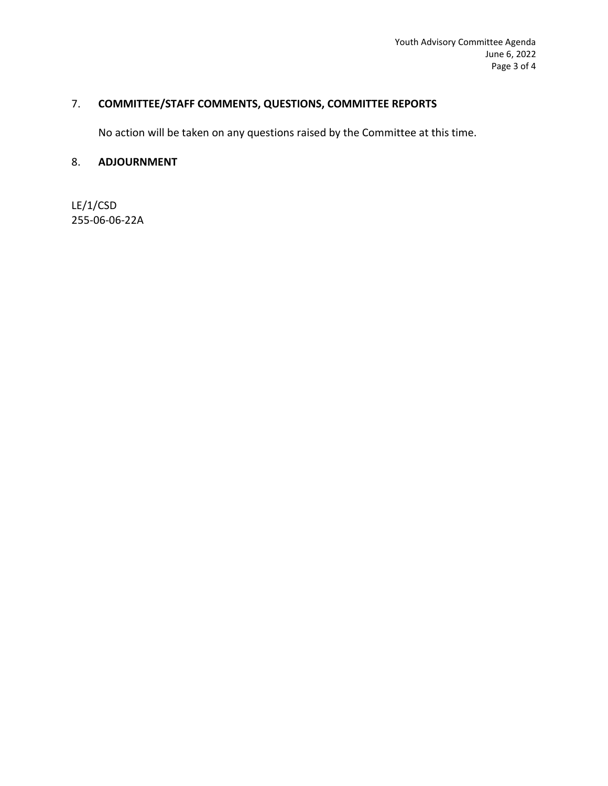# 7. **COMMITTEE/STAFF COMMENTS, QUESTIONS, COMMITTEE REPORTS**

No action will be taken on any questions raised by the Committee at this time.

# 8. **ADJOURNMENT**

LE/1/CSD 255-06-06-22A